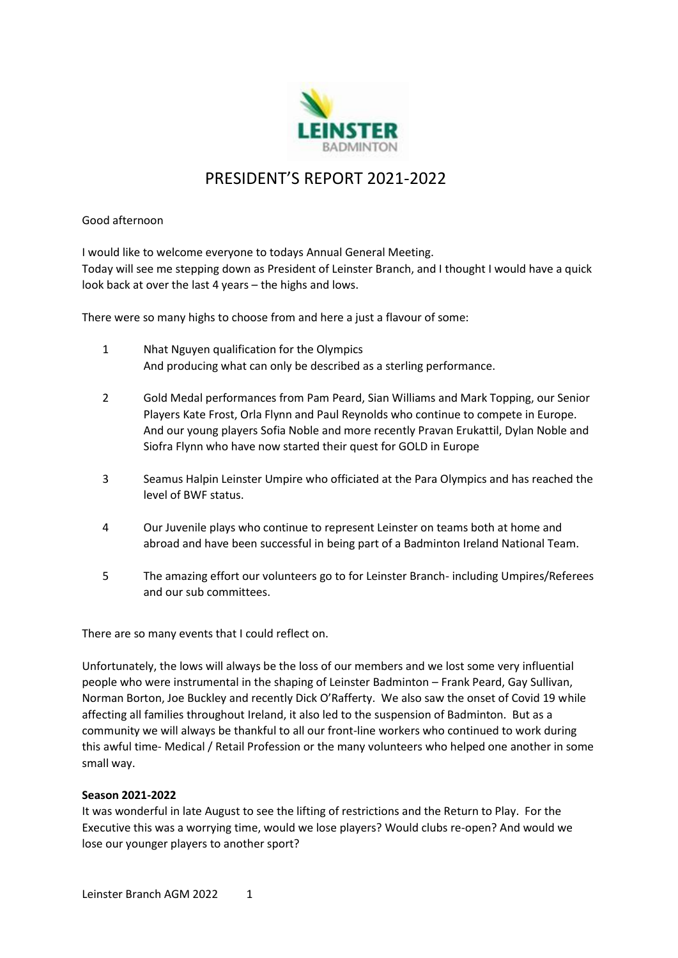

# PRESIDENT'S REPORT 2021-2022

## Good afternoon

I would like to welcome everyone to todays Annual General Meeting. Today will see me stepping down as President of Leinster Branch, and I thought I would have a quick look back at over the last 4 years – the highs and lows.

There were so many highs to choose from and here a just a flavour of some:

- 1 Nhat Nguyen qualification for the Olympics And producing what can only be described as a sterling performance.
- 2 Gold Medal performances from Pam Peard, Sian Williams and Mark Topping, our Senior Players Kate Frost, Orla Flynn and Paul Reynolds who continue to compete in Europe. And our young players Sofia Noble and more recently Pravan Erukattil, Dylan Noble and Siofra Flynn who have now started their quest for GOLD in Europe
- 3 Seamus Halpin Leinster Umpire who officiated at the Para Olympics and has reached the level of BWF status.
- 4 Our Juvenile plays who continue to represent Leinster on teams both at home and abroad and have been successful in being part of a Badminton Ireland National Team.
- 5 The amazing effort our volunteers go to for Leinster Branch- including Umpires/Referees and our sub committees.

There are so many events that I could reflect on.

Unfortunately, the lows will always be the loss of our members and we lost some very influential people who were instrumental in the shaping of Leinster Badminton – Frank Peard, Gay Sullivan, Norman Borton, Joe Buckley and recently Dick O'Rafferty. We also saw the onset of Covid 19 while affecting all families throughout Ireland, it also led to the suspension of Badminton. But as a community we will always be thankful to all our front-line workers who continued to work during this awful time- Medical / Retail Profession or the many volunteers who helped one another in some small way.

## **Season 2021-2022**

It was wonderful in late August to see the lifting of restrictions and the Return to Play. For the Executive this was a worrying time, would we lose players? Would clubs re-open? And would we lose our younger players to another sport?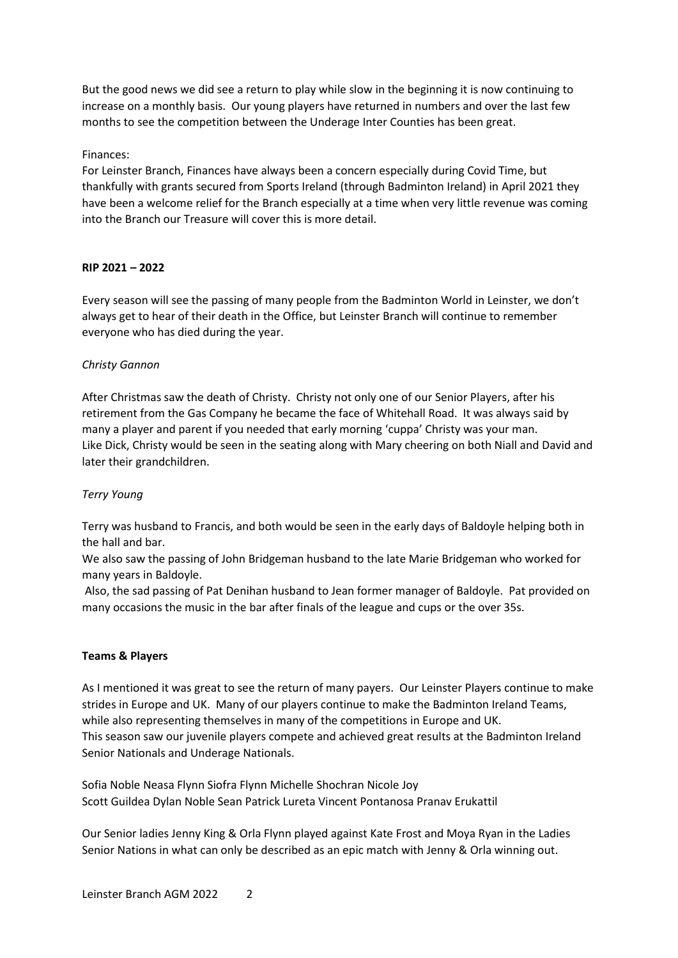But the good news we did see a return to play while slow in the beginning it is now continuing to increase on a monthly basis. Our young players have returned in numbers and over the last few months to see the competition between the Underage Inter Counties has been great.

## Finances:

For Leinster Branch, Finances have always been a concern especially during Covid Time, but thankfully with grants secured from Sports Ireland (through Badminton Ireland) in April 2021 they have been a welcome relief for the Branch especially at a time when very little revenue was coming into the Branch our Treasure will cover this is more detail.

## **RIP 2021 – 2022**

Every season will see the passing of many people from the Badminton World in Leinster, we don't always get to hear of their death in the Office, but Leinster Branch will continue to remember everyone who has died during the year.

## *Christy Gannon*

After Christmas saw the death of Christy. Christy not only one of our Senior Players, after his retirement from the Gas Company he became the face of Whitehall Road. It was always said by many a player and parent if you needed that early morning 'cuppa' Christy was your man. Like Dick, Christy would be seen in the seating along with Mary cheering on both Niall and David and later their grandchildren.

#### *Terry Young*

Terry was husband to Francis, and both would be seen in the early days of Baldoyle helping both in the hall and bar.

We also saw the passing of John Bridgeman husband to the late Marie Bridgeman who worked for many years in Baldoyle.

Also, the sad passing of Pat Denihan husband to Jean former manager of Baldoyle. Pat provided on many occasions the music in the bar after finals of the league and cups or the over 35s.

#### **Teams & Players**

As I mentioned it was great to see the return of many payers. Our Leinster Players continue to make strides in Europe and UK. Many of our players continue to make the Badminton Ireland Teams, while also representing themselves in many of the competitions in Europe and UK. This season saw our juvenile players compete and achieved great results at the Badminton Ireland Senior Nationals and Underage Nationals.

Sofia Noble Neasa Flynn Siofra Flynn Michelle Shochran Nicole Joy Scott Guildea Dylan Noble Sean Patrick Lureta Vincent Pontanosa Pranav Erukattil

Our Senior ladies Jenny King & Orla Flynn played against Kate Frost and Moya Ryan in the Ladies Senior Nations in what can only be described as an epic match with Jenny & Orla winning out.